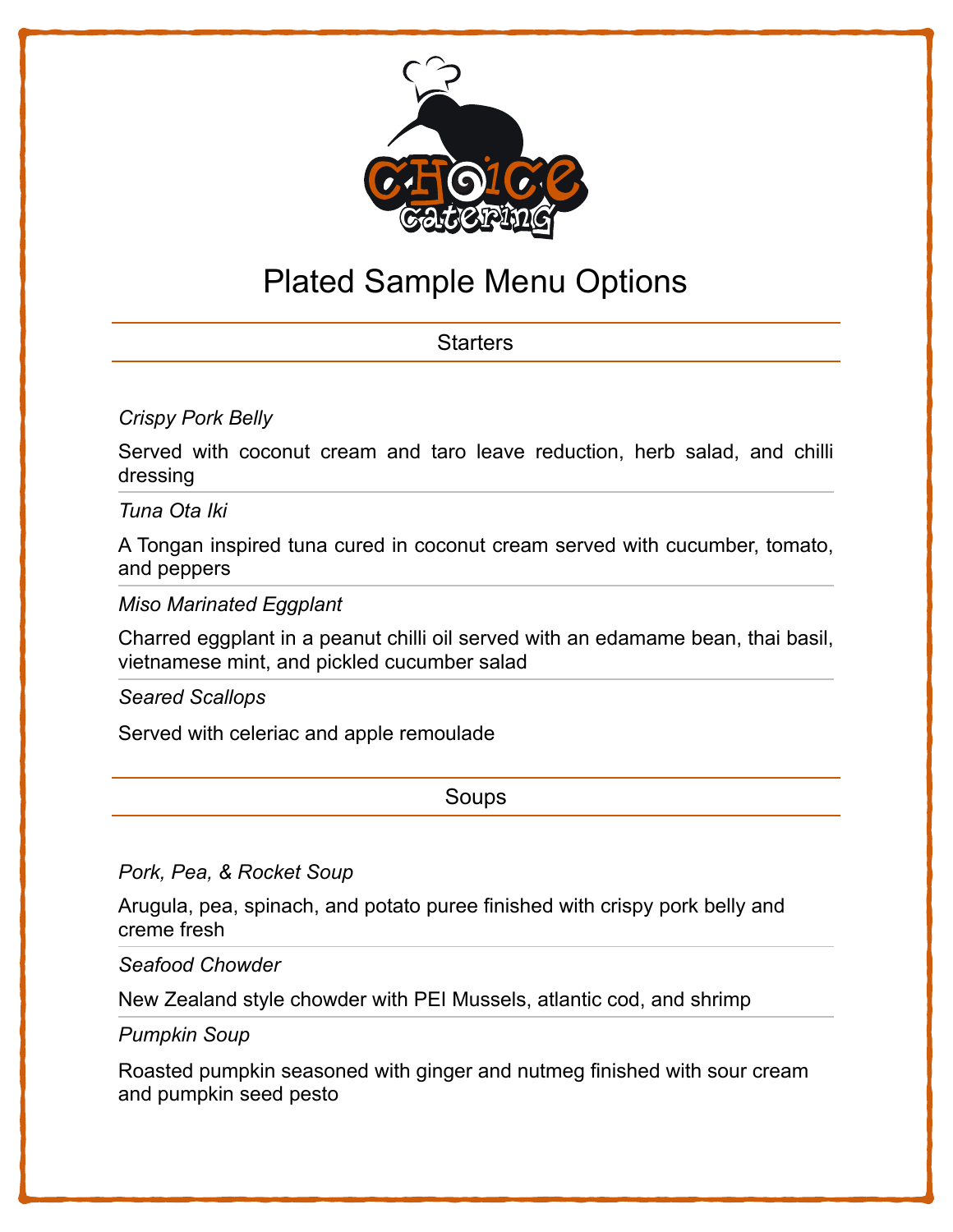

# Plated Sample Menu Options

# **Starters**

### *Crispy Pork Belly*

Served with coconut cream and taro leave reduction, herb salad, and chilli dressing

*Tuna Ota Iki*

A Tongan inspired tuna cured in coconut cream served with cucumber, tomato, and peppers

*Miso Marinated Eggplant*

Charred eggplant in a peanut chilli oil served with an edamame bean, thai basil, vietnamese mint, and pickled cucumber salad

*Seared Scallops* 

Served with celeriac and apple remoulade

Soups

*Pork, Pea, & Rocket Soup*

Arugula, pea, spinach, and potato puree finished with crispy pork belly and creme fresh

*Seafood Chowder*

New Zealand style chowder with PEI Mussels, atlantic cod, and shrimp

*Pumpkin Soup*

Roasted pumpkin seasoned with ginger and nutmeg finished with sour cream and pumpkin seed pesto